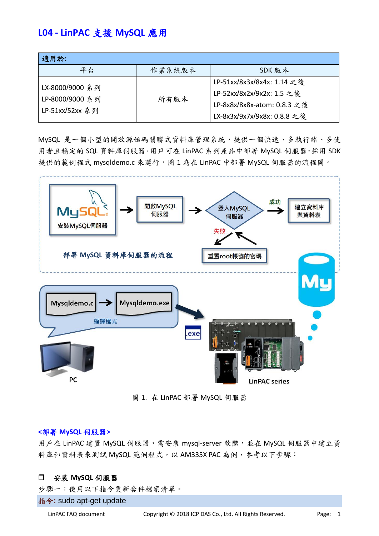# **L04 - LinPAC** 支援 **MySQL** 應用

| 適用於:                    |        |                             |
|-------------------------|--------|-----------------------------|
| 平台                      | 作業系統版本 | SDK 版本                      |
| LX-8000/9000 系列         |        | LP-51xx/8x3x/8x4x: 1.14 之後  |
| LP-8000/9000 系列<br>所有版本 |        | LP-52xx/8x2x/9x2x: 1.5 之後   |
|                         |        | LP-8x8x/8x8x-atom: 0.8.3 之後 |
| LP-51xx/52xx 系列         |        | LX-8x3x/9x7x/9x8x: 0.8.8 之後 |

MySQL 是一個小型的開放源始碼關聯式資料庫管理系統,提供一個快速、多執行緒、多使 用者且穩定的 SQL 資料庫伺服器。用戶可在 LinPAC 系列產品中部署 MySQL 伺服器,採用 SDK 提供的範例程式 mysqldemo.c 來運行,圖1為在 LinPAC 中部署 MySQL 伺服器的流程圖。



圖 1. 在 LinPAC 部署 MySQL 伺服器

#### **<**部署 **MySQL** 伺服器**>**

用戶在 LinPAC 建置 MySQL 伺服器,需安裝 mysql-server 軟體,並在 MySQL 伺服器中建立資 料庫和資料表來測試 MySQL 範例程式,以 AM335X PAC 為例,參考以下步驟:

## 安裝 **MySQL** 伺服器

步驟一:使用以下指令更新套件檔案清單。

指令**:** sudo apt-get update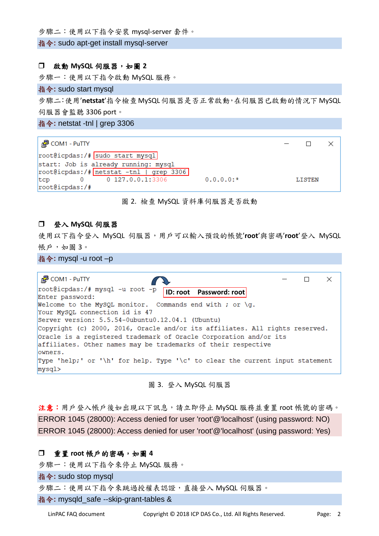步驟二:使用以下指令安裝 mysql-server 套件。

指令**:** sudo apt-get install mysql-server

#### 啟動 **MySQL** 伺服器,如圖 **2**

步驟一:使用以下指令啟動 MySQL 服務。

### 指令**:** sudo start mysql

步驟二:使用'**netstat**'指令檢查MySQL伺服器是否正常啟動,在伺服器已啟動的情況下MySQL 伺服器會監聽 3306 port。

指令**:** netstat -tnl | grep 3306

| $\frac{1}{2}$ COM1 - PuTTY                       |               |  |
|--------------------------------------------------|---------------|--|
| root@icpdas:/# sudo start mysql                  |               |  |
| start: Job is already running: mysql             |               |  |
| root@icpdas:/# netstat -tnl   grep 3306          |               |  |
| $0.0.0.0:$ *<br>$0$ 127.0.0.1:3306<br><b>tcp</b> | <b>LISTEN</b> |  |
| root@icpdas://#                                  |               |  |

#### 圖 2. 檢查 MySQL 資料庫伺服器是否啟動

#### 登入 **MySQL** 伺服器

使用以下指令登入 MySQL 伺服器,用戶可以輸入預設的帳號'**root**'與密碼'**root**'登入 MySQL 帳戶,如圖 3。

指令**:** mysql -u root –p

| $\frac{1}{2}$ COM1 - PuTTY                                                    |  |  |
|-------------------------------------------------------------------------------|--|--|
| Enter password:                                                               |  |  |
| Welcome to the MySQL monitor. Commands end with ; or $\qquad \qquad$          |  |  |
| Your MySQL connection id is 47                                                |  |  |
| Server version: 5.5.54-0ubuntu0.12.04.1 (Ubuntu)                              |  |  |
| Copyright (c) 2000, 2016, Oracle and/or its affiliates. All rights reserved.  |  |  |
| Oracle is a registered trademark of Oracle Corporation and/or its             |  |  |
| affiliates. Other names may be trademarks of their respective                 |  |  |
| lowners.                                                                      |  |  |
| Type 'help;' or '\h' for help. Type '\c' to clear the current input statement |  |  |
| mysql>                                                                        |  |  |

圖 3. 登入 MySQL 伺服器

注意:用戶登入帳戶後如出現以下訊息,請立即停止 MySQL 服務並重置 root 帳號的密碼。 ERROR 1045 (28000): Access denied for user 'root'@'localhost' (using password: NO) ERROR 1045 (28000): Access denied for user 'root'@'localhost' (using password: Yes)

#### 重置 **root** 帳戶的密碼,如圖 **4**

步驟一:使用以下指令來停止 MySQL 服務。

指令**:** sudo stop mysql

步驟二:使用以下指令來跳過授權表認證,直接登入 MySQL 伺服器。

指令**:** mysqld\_safe --skip-grant-tables &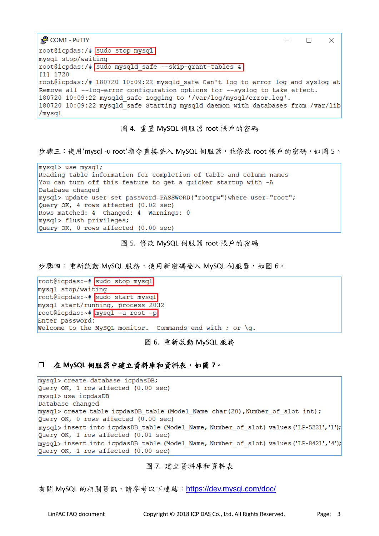| <sub>J</sub> . 2 COM1 - PuTTY                                                   |  |
|---------------------------------------------------------------------------------|--|
| root@icpdas:/# sudo stop mysql                                                  |  |
| mysql stop/waiting                                                              |  |
| root@icpdas:/# sudo mysqld safe --skip-grant-tables &                           |  |
| $[1]$ 1720                                                                      |  |
| root@icpdas:/# 180720 10:09:22 mysqld safe Can't log to error log and syslog at |  |
| Remove all --log-error configuration options for --syslog to take effect.       |  |
| 180720 10:09:22 mysqld safe Logging to '/var/log/mysql/error.log'.              |  |
| 180720 10:09:22 mysqld safe Starting mysqld daemon with databases from /var/lib |  |
| /mysq1                                                                          |  |

圖 4. 重置 MySQL 伺服器 root 帳戶的密碼

步驟三:使用'mysql -u root'指今直接登入 MySQL 伺服器, 並修改 root 帳戶的密碼, 如圖 5。

mysql> use mysql; Reading table information for completion of table and column names You can turn off this feature to get a quicker startup with -A Database changed mysql> update user set password=PASSWORD("rootpw") where user="root"; Query OK, 4 rows affected (0.02 sec) Rows matched: 4 Changed: 4 Warnings: 0 mysql> flush privileges; Query OK, 0 rows affected (0.00 sec)

圖 5. 修改 MySQL 伺服器 root 帳戶的密碼

步驟四:重新啟動 MySQL 服務,使用新密碼登入 MySQL 伺服器,如圖 6。

root@icpdas:~# sudo stop mysql mysql stop/waiting root@icpdas:~# sudo start mysql mysql start/running, process 2032 root@icpdas:~# mysql -u root -p Enter password: Welcome to the MySQL monitor. Commands end with ; or \g.

#### 圖 6. 重新啟動 MySQL 服務

## 在 **MySQL** 伺服器中建立資料庫和資料表,如圖 **7**。

mysql> create database icpdasDB; Query OK, 1 row affected (0.00 sec) mysql> use icpdasDB Database changed mysql> create table icpdasDB table (Model Name char (20), Number of slot int); Query OK, 0 rows affected (0.00 sec) mysql> insert into icpdasDB table (Model Name, Number of slot) values ('LP-5231','1'); Query OK, 1 row affected  $(0.01 \text{ sec})$ mysql> insert into icpdasDB table (Model Name, Number of slot) values ('LP-8421','4'); Query OK, 1 row affected  $(0.00 \text{ sec})$ 

## 圖 7. 建立資料庫和資料表

有關 MySQL 的相關資訊,請參考以下連結: <https://dev.mysql.com/doc/>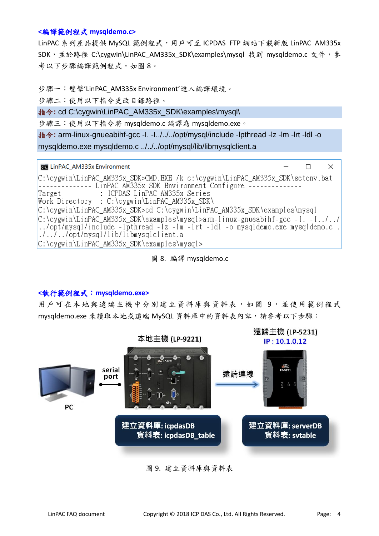## **<**編譯範例程式 **mysqldemo.c>**

LinPAC 系列產品提供 MySQL 範例程式,用戶可至 ICPDAS FTP 網站下載新版 LinPAC AM335x SDK, 並於路徑 C:\cygwin\LinPAC AM335x\_SDK\examples\mysql 找到 mysqldemo.c 文件, 參 考以下步驟編譯範例程式,如圖 8。

步驟一:雙擊'LinPAC\_AM335x Environment'進入編譯環境。

步驟二:使用以下指令更改目錄路徑。

指令**:** cd C:\cygwin\LinPAC\_AM335x\_SDK\examples\mysql\

步驟三:使用以下指令將 mysqldemo.c 編譯為 mysqldemo.exe。

指令**:** arm-linux-gnueabihf-gcc -I. -I../../../opt/mysql/include -lpthread -lz -lm -lrt -ldl -o mysqldemo.exe mysqldemo.c ../../../opt/mysql/lib/libmysqlclient.a

| <b>Exit LinPAC_AM335x Environment</b>                                                   |  |  |
|-----------------------------------------------------------------------------------------|--|--|
| C:\cygwin\LinPAC_AM335x_SDK>CMD.EXE /k c:\cygwin\LinPAC_AM335x_SDK\setenv.bat           |  |  |
|                                                                                         |  |  |
| : ICPDAS LinPAC AM335x Series<br>Target                                                 |  |  |
| Work Directory : C:\cygwin\LinPAC AM335x SDK\                                           |  |  |
| C:\cygwin\LinPAC AM335x SDK>cd C:\cygwin\LinPAC AM335x SDK\examples\mysql               |  |  |
| $C:\c{symin\mathrm{LinPAC}}$ AM335x SDK\examples\mysql>arm-linux-gnueabihf-gcc -I. -I// |  |  |
| $\ldots$ /opt/mysql/include -1pthread -1z -1m -1rt -1d1 -o mysqldemo.exe mysqldemo.c.   |  |  |
| $\lfloor \ldots \rfloor$ /opt/mysql/lib/libmysqlclient.a                                |  |  |
| C:\cygwin\LinPAC_AM335x_SDK\examples\mysql>                                             |  |  |

圖 8. 編譯 mysqldemo.c

## **<**執行範例程式:**mysqldemo.exe>**

用戶可在本地與遠端主機中分別建立資料庫與資料表,如圖 9,並使用範例程式 mysqldemo.exe 來讀取本地或遠端 MySQL 資料庫中的資料表內容,請參考以下步驟:



## 圖 9. 建立資料庫與資料表